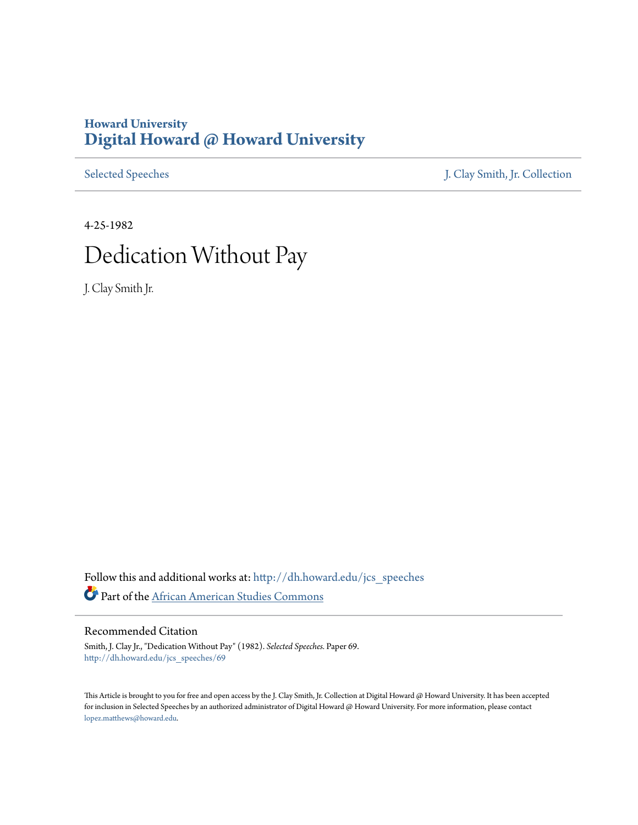### **Howard University [Digital Howard @ Howard University](http://dh.howard.edu?utm_source=dh.howard.edu%2Fjcs_speeches%2F69&utm_medium=PDF&utm_campaign=PDFCoverPages)**

[Selected Speeches](http://dh.howard.edu/jcs_speeches?utm_source=dh.howard.edu%2Fjcs_speeches%2F69&utm_medium=PDF&utm_campaign=PDFCoverPages) [J. Clay Smith, Jr. Collection](http://dh.howard.edu/jcsmith?utm_source=dh.howard.edu%2Fjcs_speeches%2F69&utm_medium=PDF&utm_campaign=PDFCoverPages)

# 4-25-1982 Dedication Without Pay

J. Clay Smith Jr.

Follow this and additional works at: [http://dh.howard.edu/jcs\\_speeches](http://dh.howard.edu/jcs_speeches?utm_source=dh.howard.edu%2Fjcs_speeches%2F69&utm_medium=PDF&utm_campaign=PDFCoverPages) Part of the [African American Studies Commons](http://network.bepress.com/hgg/discipline/567?utm_source=dh.howard.edu%2Fjcs_speeches%2F69&utm_medium=PDF&utm_campaign=PDFCoverPages)

#### Recommended Citation

Smith, J. Clay Jr., "Dedication Without Pay" (1982). *Selected Speeches.* Paper 69. [http://dh.howard.edu/jcs\\_speeches/69](http://dh.howard.edu/jcs_speeches/69?utm_source=dh.howard.edu%2Fjcs_speeches%2F69&utm_medium=PDF&utm_campaign=PDFCoverPages)

This Article is brought to you for free and open access by the J. Clay Smith, Jr. Collection at Digital Howard @ Howard University. It has been accepted for inclusion in Selected Speeches by an authorized administrator of Digital Howard @ Howard University. For more information, please contact [lopez.matthews@howard.edu.](mailto:lopez.matthews@howard.edu)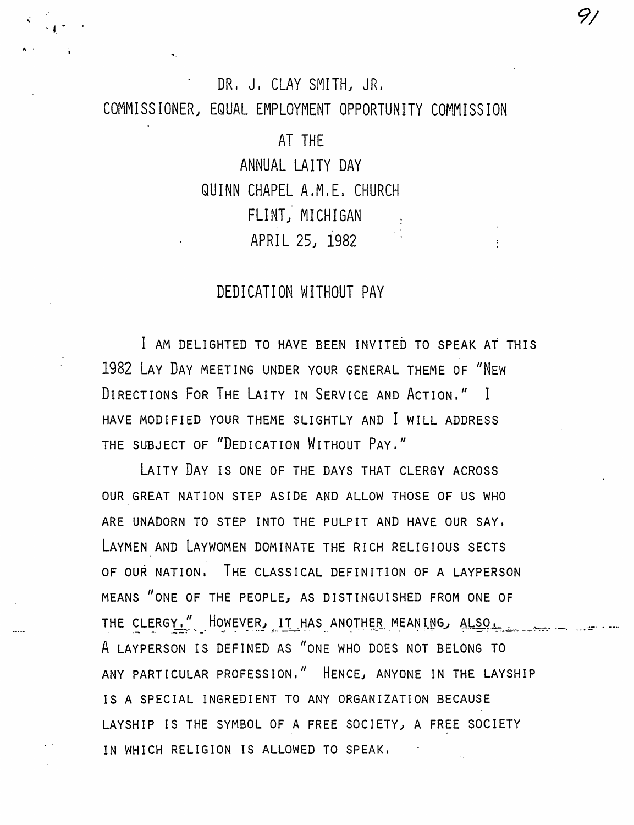# DR. J. CLAY SMITH, JR. COMMISSIONER, EQUAL EMPLOYMENT OPPORTUNITY COMMISSION

AT THE

ANNUAL LATTY DAY QUINN CHAPEL A.M.E. CHURCH FLINT, MICHIGAN APRIL 25, 1982

## DEDICATION WITHOUT PAY

I AM DELIGHTED TO HAVE BEEN INVITED TO SPEAK AT THIS 1982 LAY DAY MEETING UNDER YOUR GENERAL THEME OF "NEW DIRECTIONS FOR THE LAITY IN SERVICE AND ACTION." I HAVE MODIFIED YOUR THEME SLIGHTLY AND I WILL ADDRESS THE SUBJECT OF "DEDICATION WITHOUT PAY."

LAITY DAY IS ONE OF THE DAYS THAT CLERGY ACROSS OUR GREAT NATION STEP ASIDE AND ALLOW THOSE OF US WHO ARE UNADORN TO STEP INTO THE PULPIT AND HAVE OUR SAY, LAYMEN AND LAYWOMEN DOMINATE THE RICH RELIGIOUS SECTS OF OUR NATION. THE CLASSICAL DEFINITION OF A LAYPERSON MEANS "ONE OF THE PEOPLE, AS DISTINGUISHED FROM ONE OF A LAYPERSON IS DEFINED AS "ONE WHO DOES NOT BELONG TO ANY PARTICULAR PROFESSION." HENCE, ANYONE IN THE LAYSHIP IS A SPECIAL INGREDIENT TO ANY ORGANIZATION BECAUSE LAYSHIP IS THE SYMBOL OF A FREE SOCIETY, A FREE SOCIETY IN WHICH RELIGION IS ALLOWED TO SPEAK.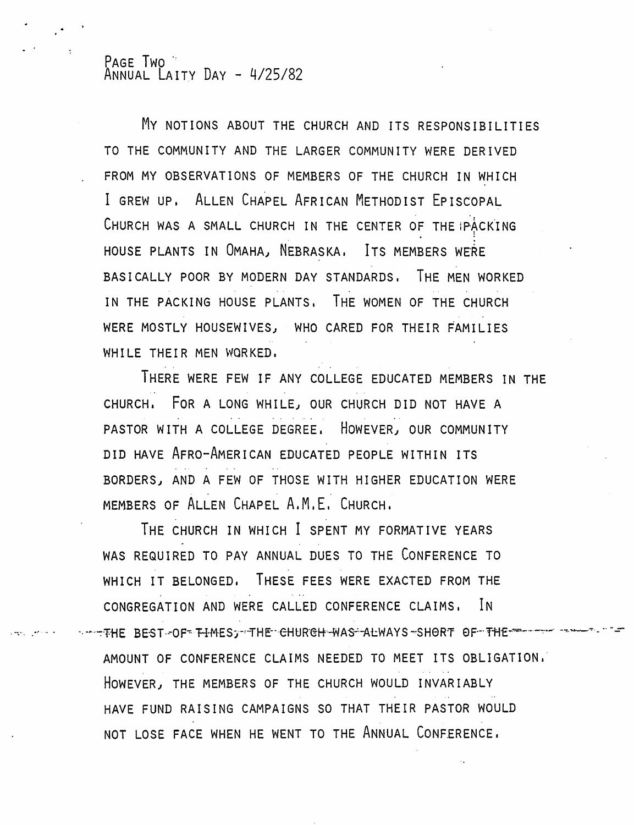#### PAGE TWO ANNUAL LAITY DAY - 4/25/82

My NOTIONS ABOUT THE CHURCH AND ITS RESPONSIBILITIES TO THE COMMUNITY AND THE LARGER COMMUNITY WERE DERIVED FROM MY OBSERVATIONS OF MEMBERS OF THE CHURCH IN WHICH I GREW UP. ALLEN CHAPEL AFRICAN METHODIST EPISCOPAL CHURCH WAS A SMALL CHURCH IN THE CENTER OF THE PACKING HOUSE PLANTS IN OMAHA, NEBRASKA. ITS MEMBERS WERE BASICALLY POOR BY MODERN DAY STANDARDS. THE MEN WORKED IN THE PACKING HOUSE PLANTS. THE WOMEN OF THE CHURCH WERE MOSTLY HOUSEWIVES) WHO CARED FOR THEIR FAMILIES WHILE THEIR MEN WORKED.

THERE WERE FEW IF ANY COLLEGE EDUCATED MEMBERS IN THE CHURCH. FOR A LONG WHILE, OUR CHURCH DID NOT HAVE A PASTOR WITH A COLLEGE DEGREE. HOWEVER) OUR COMMUNITY DID HAVE AFRO-AMERICAN EDUCATED PEOPLE WITHIN ITS BORDERS, AND A FEW OF THOSE WITH HIGHER EDUCATION WERE MEMBERS OF ALLEN CHAPEL A.M.E. CHURCH.

THE CHURCH IN WHICH I SPENT MY FORMATIVE YEARS WAS REQUIRED TO PAY ANNUAL DUES TO THE CONFERENCE TO WHICH IT BELONGED. THESE FEES WERE EXACTED FROM THE CONGREGATION AND WERE CALLED CONFERENCE CLAIMS. IN .---- THE BEST-OF FIMES; THE CHURCH-WAS-ALWAYS -SHORT OF THE AMOUNT OF CONFERENCE CLAIMS NEEDED TO MEET ITS OBLIGATION.' HOWEVER) THE MEMBERS OF THE CHURCH WOULD INVARIABLY HAVE FUND RAISING CAMPAIGNS SO THAT THEIR PASTOR WOULD NOT LOSE FACE WHEN HE WENT TO THE ANNUAL CONFERENCE.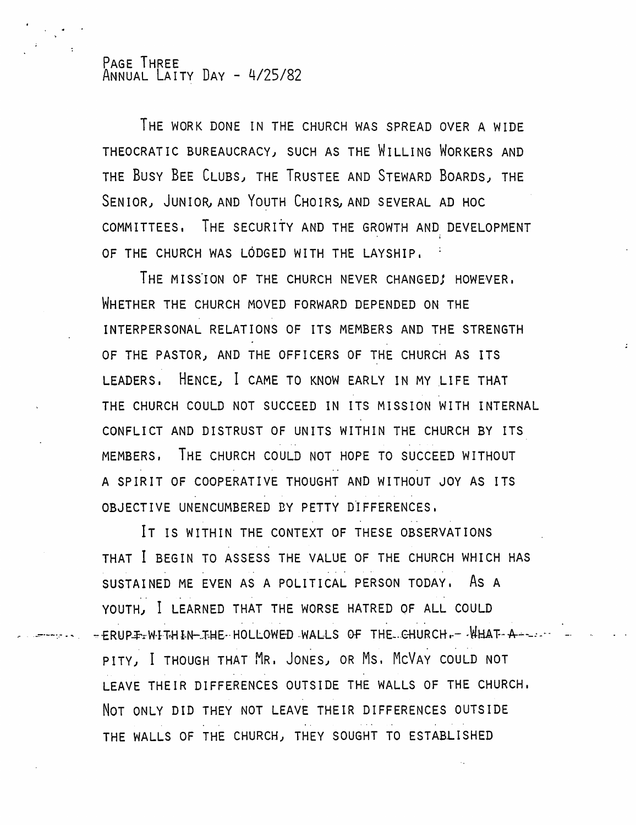#### PAGE THREE ANNUAL LAITY DAY - 4/25/82

. -::-.--:.~ .....

THE WORK DONE IN THE CHURCH WAS SPREAD OVER A WIDE THEOCRATIC BUREAUCRACY) SUCH AS THE WILLING WORKERS AND THE BUSY BEE CLUBS) THE TRUSTEE AND STEWARD BOARDS) THE SENIOR, JUNIOR, AND YOUTH CHOIRS, AND SEVERAL AD HOC COMMITTEES. THE SECURITY AND THE GROWTH AND DEVELOPMENT OF THE CHURCH WAS LODGED WITH THE LAYSHIP.

THE MISSION OF THE CHURCH NEVER CHANGED! HOWEVER. WHETHER THE CHURCH MOVED FORWARD DEPENDED ON THE INTERPERSONAL RELATIONS OF ITS MEMBERS AND THE STRENGTH OF THE PASTOR) AND THE OFFICERS OF THE CHURCH AS ITS LEADERS. HENCE, I CAME TO KNOW EARLY IN MY LIFE THAT THE CHURCH COULD NOT SUCCEED IN ITS MISSION WITH INTERNAL CONFLICT AND DISTRUST OF UNITS WITHIN THE CHURCH BY ITS  $\label{eq:3.1} \mathcal{L}_{\mathcal{A}}(\mathcal{A}) = \mathcal{L}_{\mathcal{A}}(\mathcal{A}) = \mathcal{L}_{\mathcal{A}}(\mathcal{A}) = \mathcal{L}_{\mathcal{A}}(\mathcal{A}) = \mathcal{L}_{\mathcal{A}}(\mathcal{A}) = \mathcal{L}_{\mathcal{A}}(\mathcal{A})$ MEMBERS, THE CHURCH COULD NOT HOPE TO SUCCEED WITHOUT A SPIRIT OF COOPERATIVE THOUGHT AND WITHOUT JOY AS ITS OBJECTIVE UNENCUMBERED BY PETTY DIFFERENCES.

IT IS WITHIN THE CONTEXT OF THESE OBSERVATIONS THAT I BEGIN TO ASSESS THE VALUE OF THE CHURCH WHICH HAS SUSTAINED ME EVEN AS A POLITICAL PERSON TODAY, AS A YOUTH) I LEARNED THAT THE WORSE HATRED OF ALL COULD . , .  $\pm$   $\tt{RUPF}_x$ WITH IN-THE  $\cdot$  HOLLOWED . WALLS OF THE  $\cdot$  CHURCH  $\cdot$   $\cdot$   $\tt{WHAF}$   $\cdot$   $\cdot$   $\cdot$   $\cdot$   $\cdot$ PITY} I THOUGH THAT MR. JONES) OR Ms, MCVAY COULD NOT LEAVE THEIR DIFFERENCES OUTSIDE THE WALLS OF THE CHURCH. NOT ONLY DID THEY NOT LEAVE THEIR DIFFERENCES OUTSIDE THE WALLS OF THE CHURCH) THEY SOUGHT TO ESTABLISHED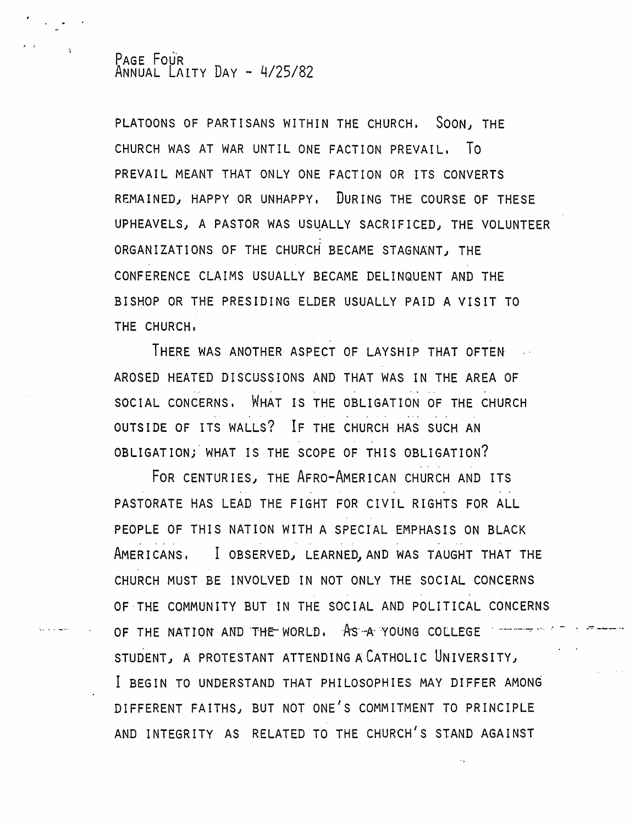#### PAGE FOUR ANNUAL LArTY DAY - 4/25/82

PLATOONS OF PARTISANS WITHIN THE CHURCH. SOON) THE CHURCH WAS AT WAR UNTIL ONE FACTION PREVAIL. To PREVAIL MEANT THAT ONLY ONE FACTION OR ITS CONVERTS REMAINED) HAPPY OR UNHAPPY. DURING THE COURSE OF THESE UPHEAVELS, A PASTOR WAS USUALLY SACRIFICED, THE VOLUNTEER ORGANIZATIONS OF THE CHURCH BECAME STAGNANT) THE CONFERENCE CLAIMS USUALLY BECAME DELINQUENT AND THE BISHOP OR THE PRESIDING ELDER USUALLY PAID A VISIT TO THE CHURCH.

THERE WAS ANOTHER ASPECT OF LAYSHIP THAT OFTEN AROSED HEATED DISCUSSIONS AND THAT WAS IN THE AREA OF SOCIAL CONCERNS. WHAT IS THE OBLIGATION OF THE CHURCH OUTSIDE OF ITS WALLS? IF THE CHURCH HAS SUCH AN OBLIGATION; WHAT IS THE SCOPE OF THIS OBLIGATION?

FOR CENTURIES) THE AFRO-AMERICAN CHURCH AND ITS PASTORATE HAS LEAD THE FIGHT FOR CIVIL RIGHTS FOR ALL PEOPLE OF THIS NATION WITH A SPECIAL EMPHASIS ON BLACK AMERICANS. I OBSERVED) LEARNED) AND WAS TAUGHT THAT THE CHURCH MUST BE INVOLVED IN NOT ONLY THE SOCIAL CONCERNS OF'THE COMMUNITY BUT IN THE SOCIAL AND POLITICAL CONCERNS OF THE NATION AND THE WORLD. AS A YOUNG COLLEGE STUDENT) A PROTESTANT ATTENDING A CATHOLIC UNIVERSITY) I BEGIN TO UNDERSTAND THAT PHILOSOPHIES MAY DIFFER AMONG DIFFERENT FAITHS) BUT NOT ONE'S COMMITMENT TO PRINCIPLE AND INTEGRITY AS RELATED TO THE CHURCH'S STAND AGAINST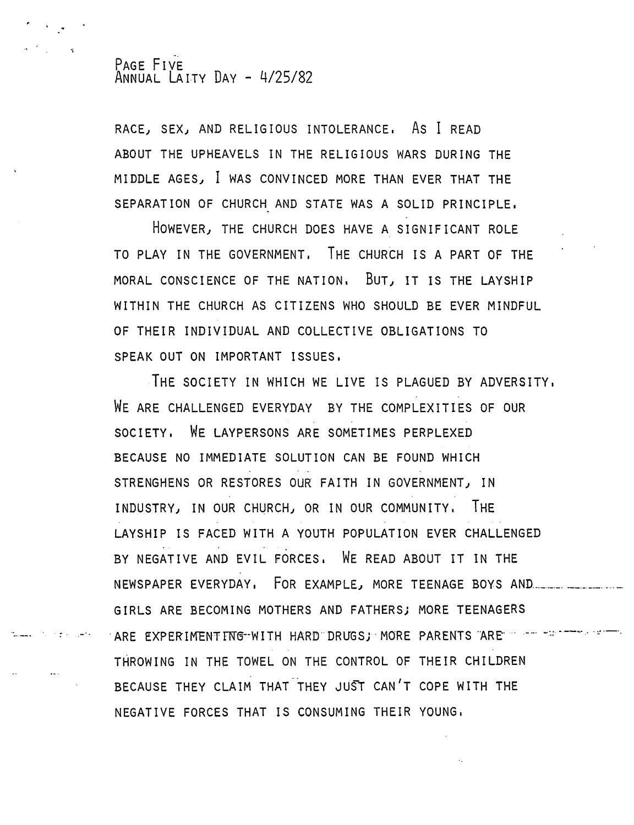#### PAGE FIVE ANNUAL LAITY DAY - 4/25/82

RACE, SEX, AND RELIGIOUS INTOLERANCE. As I READ ABOUT THE UPHEAVELS IN THE RELIGIOUS WARS DURING THE MIDDLE AGES, I WAS CONVINCED MORE THAN EVER THAT THE SEPARATION OF CHURCH AND STATE WAS A SOLID PRINCIPLE.

HOWEVER, THE CHURCH DOES HAVE A SIGNIFICANT ROLE TO PLAY IN THE GOVERNMENT. THE CHURCH IS A PART OF THE MORAL CONSCIENCE OF THE NATION. BUT, IT IS THE LAYSHIP WITHIN THE CHURCH AS CITIZENS WHO SHOULD BE EVER MINDFUL OF THEIR INDIVIDUAL AND COLLECTIVE OBLIGATIONS TO SPEAK OUT ON IMPORTANT ISSUES.

THE SOCIETY IN WHICH WE LIVE IS PLAGUED BY ADVERSITY. WE ARE CHALLENGED EVERYDAY BY THE COMPLEXITIES OF OUR SOCIETY. WE LAYPERSONS ARE SOMETIMES PERPLEXED BECAUSE NO IMMEDIATE SOLUTION CAN BE FOUND WHICH STRENGHENS OR RESTORES OUR FAITH IN GOVERNMENT, IN INDUSTRY, IN OUR CHURCH, OR IN OUR COMMUNITY. IHE LAYSHIP IS FACED WITH A YOUTH POPULATION EVER CHALLENGED BY NEGATIVE AND EVIL FORCES. WE READ ABOUT IT IN THE NEWSPAPER EVERYDAY, FOR EXAMPLE, MORE TEENAGE BOYS AND ......................... GIRLS ARE BECOMING MOTHERS AND FATHERSj MORE TEENAGERS . ARE EXPERIMENTING-WITH HARD DRUGSJ MORE PARENTS ARE ... .... .... ............ THROWING IN THE TOWEL ON THE CONTROL OF THEIR CHILDREN BECAUSE THEY CLAIM THAT THEY JUST CAN'T COPE WITH THE NEGATIVE FORCES THAT IS CONSUMING THEIR YOUNG,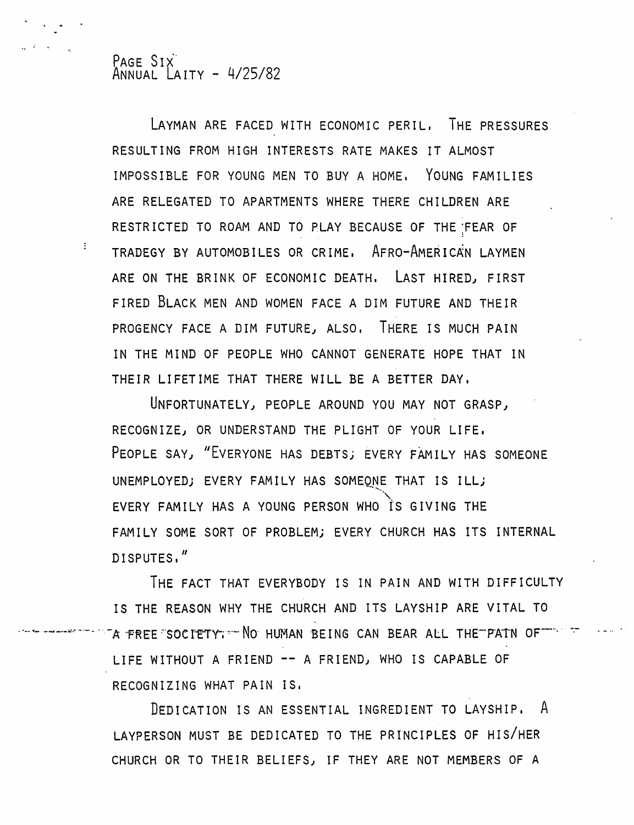PAGE SIX ANNUAL LAITY - 4/25/82

 $\mathcal{L}^{\text{max}}$ 

LAYMAN ARE FACED WITH ECONOMIC PERIL. THE PRESSURES RESULTING FROM HIGH INTERESTS RATE MAKES IT ALMOST IMPOSSIBLE FOR YOUNG MEN TO BUY A HOME. YOUNG FAMILIES ARE RELEGATED TO APARTMENTS WHERE THERE CHILDREN ARE RESTRICTED TO ROAM AND TO PLAY BECAUSE OF THE ;FEAR OF TRADEGY BY AUTOMOBILES OR CRIME. AFRO-AMERICAN LAYMEN ARE ON THE BRINK OF ECONOMIC DEATH. LAST HIRED, FIRST FIRED BLACK MEN AND WOMEN FACE A DIM FUTURE AND THEIR PROGENCY FACE A DIM FUTURE, ALSO. THERE IS MUCH PAIN IN THE MIND OF PEOPLE WHO CANNOT GENERATE HOPE THAT IN THEIR LIFETIME THAT THERE WILL BE A BETTER DAY.

UNFORTUNATELY, PEOPLE AROUND YOU MAY NOT GRASP, RECOGNIZE, OR UNDERSTAND THE PLIGHT OF YOUR LIFE. PEOPLE SAY, "EVERYONE HAS DEBTS; EVERY FAMILY HAS SOMEONE UNEMPLOYED; EVERY FAMILY HAS SOMEONE THAT IS ILL; EVERY FAMILY HAS A YOUNG PERSON WHO is GIVING THE FAMILY SOME SORT OF PROBLEM; EVERY CHURCH HAS ITS INTERNAL DISPUTES."

THE FACT THAT EVERYBODY IS IN PAIN AND WITH DIFFICULTY IS THE REASON WHY THE CHURCH AND ITS LAYSHIP ARE VITAL TO A FREE SOCIETY. DO HUMAN BEING CAN BEAR ALL THE PAIN OF  $\mathbb{T}$ LIFE WITHOUT A FRIEND -- A FRIEND, WHO IS CAPABLE OF RECOGNIZING WHAT PAIN IS.

DEDICATION IS AN ESSENTIAL INGREDIENT TO LAYSHIP. A LAYPERSON MUST BE DEDICATED TO THE PRINCIPLES OF HIS/HER CHURCH OR TO THEIR BELIEFS) IF THEY ARE NOT MEMBERS OF A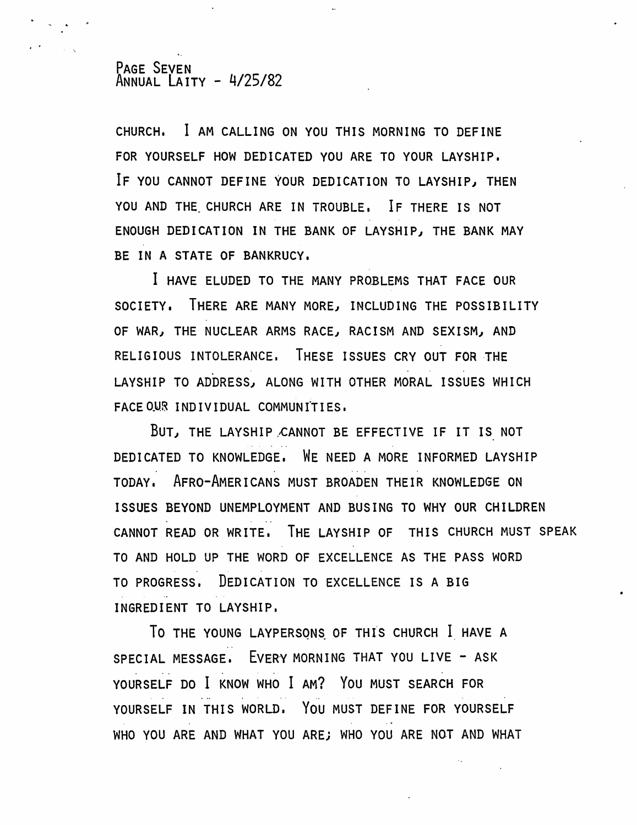#### PAGE SEVEN ANNUAL LAITY - 4/25/82

CHURCH. I AM CALLING ON YOU THIS MORNING TO DEFINE FOR YOURSELF HOW DEDICATED YOU ARE TO YOUR LAYSHIP. IF YOU CANNOT DEFINE YOUR DEDICATION TO LAYSHIP, THEN YOU AND THE CHURCH ARE IN TROUBLE. IF THERE IS NOT ENOUGH DEDICATION IN THE BANK OF LAYSHIP, THE BANK MAY BE IN A STATE OF BANKRUCY.

I HAVE ELUDED TO THE MANY PROBLEMS THAT FACE OUR SOCIETY. THERE ARE MANY MOREJ INCLUDING THE POSSIBILITY OF WAR, THE NUCLEAR ARMS RACE, RACISM AND SEXISM, AND RELIGIOUS INTOLERANCE. THESE ISSUES CRY OUT FOR THE LAYSHIP TO ADDRESS, ALONG WITH OTHER MORAL ISSUES WHICH FACE OUR INDIVIDUAL COMMUNITIES.

BUT, THE LAYSHIP CANNOT BE EFFECTIVE IF IT IS NOT DEDICATED TO KNOWLEDGE. WE NEED A MORE INFORMED LAYSHIP TODAY. AFRO-AMERICANS MUST BROADEN THEIR KNOWLEDGE ON ISSUES BEYOND UNEMPLOYMENT AND BUSING TO WHY OUR CHILDREN CANNOT READ OR WRITE. THE LAYSHIP OF THIS CHURCH MUST SPEAK TO AND HOLD UP THE WORD OF EXCELLENCE AS THE PASS WORD TO PROGRESS. DEDICATION TO EXCELLENCE IS A BIG INGREDIENT TO LAYSHIP.

TO THE YOUNG LAYPERSONS OF THIS CHURCH I HAVE A SPECIAL MESSAGE. EVERY MORNING THAT YOU LIVE - ASK YOURSELF DO I KNOW WHO I AM? YOU MUST SEARCH FOR YOURSELF IN THIS WORLD. YOU MUST DEFINE FOR YOURSELF WHO YOU ARE AND WHAT YOU ARE; WHO YOU ARE NOT AND WHAT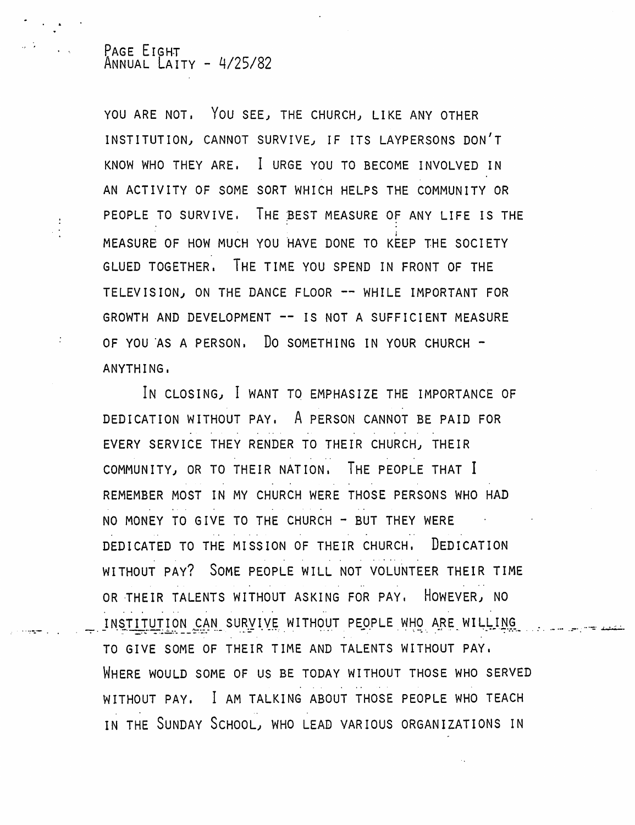#### PAGE EIGHT ANNUAL LAITY - 4/25/82

÷

YOU ARE NOT. You SEE) THE CHURCH) LIKE ANY OTHER INSTITUTION) CANNOT SURVIVE) IF ITS LAYPERSONS DON'T KNOW WHO THEY ARE. I URGE YOU TO BECOME INVOLVED IN AN ACTIVITY OF SOME SORT WHICH HELPS THE COMMUNITY OR PEOPLE TO SURVIVE. THE BEST MEASURE OF ANY LIFE IS THE MEASURE OF HOW MUCH YOU HAVE DONE TO KEEP THE SOCIETY GLUED TOGETHER. THE TIME YOU SPEND IN FRONT OF THE TELEVISION) ON THE DANCE FLOOR -- WHILE IMPORTANT FOR GROWTH AND DEVELOPMENT -- IS NOT A SUFFICIENT MEASURE OF YOU AS A PERSON. DO SOMETHING IN YOUR CHURCH  $\sim$ ANYTHING.

IN CLOSING) I WANT TO EMPHASIZE THE IMPORTANCE OF DEDICATION WITHOUT PAY. A PERSON CANNOT BE PAID FOR EVERY SERVICE THEY RENDER TO THEIR CHURCH) THEIR COMMUNITY) OR TO THEIR NATION. THE PEOPLE THAT I REMEMBER MOST IN MY CHURCH WERE THOSE PERSONS WHO HAD NO MONEY TO GIVE TO THE CHURCH - BUT THEY WERE DEDICATED TO THE MISSION OF THEIR CHURCH. DEDICATION , , , , , , , , , , , , , , , , , , , , WITHOUT PAY? SOME PEOPLE WILL NOT VOLUNTEER THEIR TIME OR THEIR TALENTS WITHOUT ASKING FOR PAY. HOWEVER) NO INSTITUTION CAN SURVIVE WITHOUT PEOPLE WHO ARE WILLING TO GIVE SOME OF THEIR TIME AND TALENTS WITHOUT PAY. WHERE WOULD SOME OF US BE TODAY WITHOUT THOSE WHO SERVED WITHOUT PAY. I AM TALKING ABOUT THOSE PEOPLE WHO TEACH " ' IN THE SUNDAY SCHOOL) WHO LEAD VARIOUS ORGANIZATIONS IN

... -;:.~-